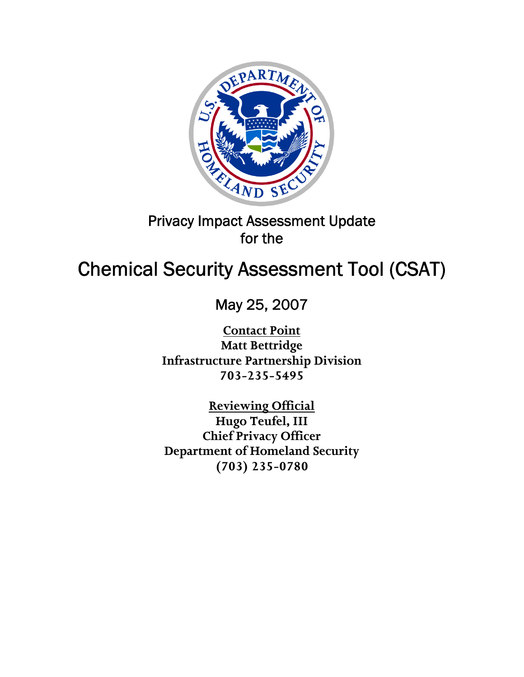

# Privacy Impact Assessment Update for the

# Chemical Security Assessment Tool (CSAT)

May 25, 2007

**Contact Point Matt Bettridge Infrastructure Partnership Division 703-235-5495** 

**Reviewing Official Hugo Teufel, III Chief Privacy Officer Department of Homeland Security (703) 235-0780**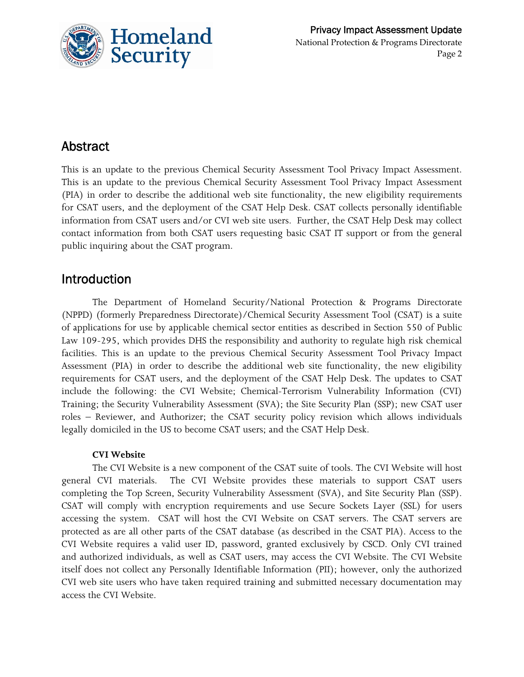

### Abstract

This is an update to the previous Chemical Security Assessment Tool Privacy Impact Assessment. This is an update to the previous Chemical Security Assessment Tool Privacy Impact Assessment (PIA) in order to describe the additional web site functionality, the new eligibility requirements for CSAT users, and the deployment of the CSAT Help Desk. CSAT collects personally identifiable information from CSAT users and/or CVI web site users. Further, the CSAT Help Desk may collect contact information from both CSAT users requesting basic CSAT IT support or from the general public inquiring about the CSAT program.

### Introduction

 The Department of Homeland Security/National Protection & Programs Directorate (NPPD) (formerly Preparedness Directorate)/Chemical Security Assessment Tool (CSAT) is a suite of applications for use by applicable chemical sector entities as described in Section 550 of Public Law 109-295, which provides DHS the responsibility and authority to regulate high risk chemical facilities. This is an update to the previous Chemical Security Assessment Tool Privacy Impact Assessment (PIA) in order to describe the additional web site functionality, the new eligibility requirements for CSAT users, and the deployment of the CSAT Help Desk. The updates to CSAT include the following: the CVI Website; Chemical-Terrorism Vulnerability Information (CVI) Training; the Security Vulnerability Assessment (SVA); the Site Security Plan (SSP); new CSAT user roles – Reviewer, and Authorizer; the CSAT security policy revision which allows individuals legally domiciled in the US to become CSAT users; and the CSAT Help Desk.

#### **CVI Website**

The CVI Website is a new component of the CSAT suite of tools. The CVI Website will host general CVI materials. The CVI Website provides these materials to support CSAT users completing the Top Screen, Security Vulnerability Assessment (SVA), and Site Security Plan (SSP). CSAT will comply with encryption requirements and use Secure Sockets Layer (SSL) for users accessing the system. CSAT will host the CVI Website on CSAT servers. The CSAT servers are protected as are all other parts of the CSAT database (as described in the CSAT PIA). Access to the CVI Website requires a valid user ID, password, granted exclusively by CSCD. Only CVI trained and authorized individuals, as well as CSAT users, may access the CVI Website. The CVI Website itself does not collect any Personally Identifiable Information (PII); however, only the authorized CVI web site users who have taken required training and submitted necessary documentation may access the CVI Website.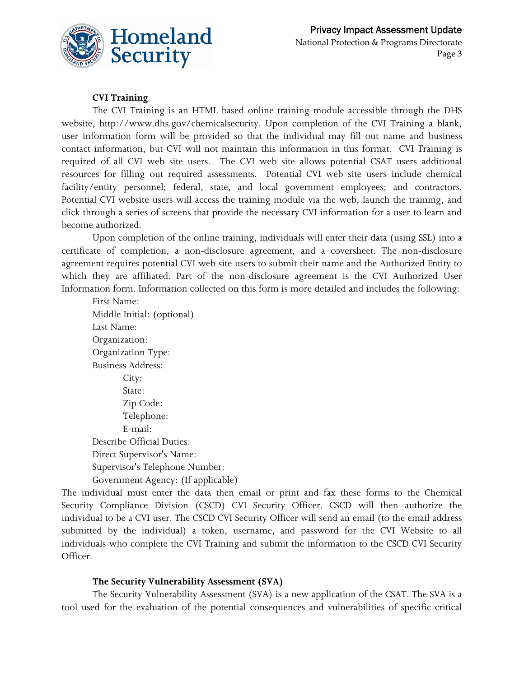

#### **CVI Training**

The CVI Training is an HTML based online training module accessible through the DHS website, http://www.dhs.gov/chemicalsecurity. Upon completion of the CVI Training a blank, user information form will be provided so that the individual may fill out name and business contact information, but CVI will not maintain this information in this format. CVI Training is required of all CVI web site users. The CVI web site allows potential CSAT users additional resources for filling out required assessments. Potential CVI web site users include chemical facility/entity personnel; federal, state, and local government employees; and contractors. Potential CVI website users will access the training module via the web, launch the training, and click through a series of screens that provide the necessary CVI information for a user to learn and become authorized.

Upon completion of the online training, individuals will enter their data (using SSL) into a certificate of completion, a non-disclosure agreement, and a coversheet. The non-disclosure agreement requires potential CVI web site users to submit their name and the Authorized Entity to which they are affiliated. Part of the non-disclosure agreement is the CVI Authorized User Information form. Information collected on this form is more detailed and includes the following:

First Name: Middle Initial: (optional) Last Name: Organization: Organization Type: Business Address: City: State: Zip Code: Telephone: E-mail: Describe Official Duties: Direct Supervisor's Name: Supervisor's Telephone Number: Government Agency: (If applicable)

The individual must enter the data then email or print and fax these forms to the Chemical Security Compliance Division (CSCD) CVI Security Officer. CSCD will then authorize the individual to be a CVI user. The CSCD CVI Security Officer will send an email (to the email address submitted by the individual) a token, username, and password for the CVI Website to all individuals who complete the CVI Training and submit the information to the CSCD CVI Security Officer.

#### **The Security Vulnerability Assessment (SVA)**

The Security Vulnerability Assessment (SVA) is a new application of the CSAT. The SVA is a tool used for the evaluation of the potential consequences and vulnerabilities of specific critical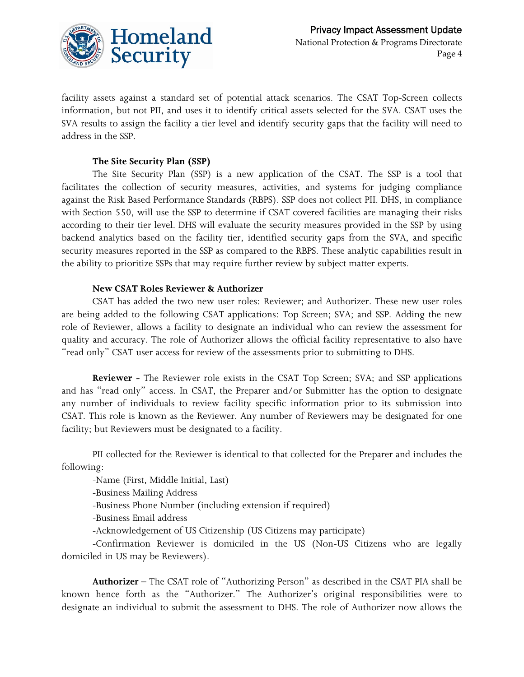

facility assets against a standard set of potential attack scenarios. The CSAT Top-Screen collects information, but not PII, and uses it to identify critical assets selected for the SVA. CSAT uses the SVA results to assign the facility a tier level and identify security gaps that the facility will need to address in the SSP.

#### **The Site Security Plan (SSP)**

The Site Security Plan (SSP) is a new application of the CSAT. The SSP is a tool that facilitates the collection of security measures, activities, and systems for judging compliance against the Risk Based Performance Standards (RBPS). SSP does not collect PII. DHS, in compliance with Section 550, will use the SSP to determine if CSAT covered facilities are managing their risks according to their tier level. DHS will evaluate the security measures provided in the SSP by using backend analytics based on the facility tier, identified security gaps from the SVA, and specific security measures reported in the SSP as compared to the RBPS. These analytic capabilities result in the ability to prioritize SSPs that may require further review by subject matter experts.

#### **New CSAT Roles Reviewer & Authorizer**

CSAT has added the two new user roles: Reviewer; and Authorizer. These new user roles are being added to the following CSAT applications: Top Screen; SVA; and SSP. Adding the new role of Reviewer, allows a facility to designate an individual who can review the assessment for quality and accuracy. The role of Authorizer allows the official facility representative to also have "read only" CSAT user access for review of the assessments prior to submitting to DHS.

**Reviewer -** The Reviewer role exists in the CSAT Top Screen; SVA; and SSP applications and has "read only" access. In CSAT, the Preparer and/or Submitter has the option to designate any number of individuals to review facility specific information prior to its submission into CSAT. This role is known as the Reviewer. Any number of Reviewers may be designated for one facility; but Reviewers must be designated to a facility.

PII collected for the Reviewer is identical to that collected for the Preparer and includes the following:

-Name (First, Middle Initial, Last)

-Business Mailing Address

-Business Phone Number (including extension if required)

-Business Email address

-Acknowledgement of US Citizenship (US Citizens may participate)

-Confirmation Reviewer is domiciled in the US (Non-US Citizens who are legally domiciled in US may be Reviewers).

**Authorizer –** The CSAT role of "Authorizing Person" as described in the CSAT PIA shall be known hence forth as the "Authorizer." The Authorizer's original responsibilities were to designate an individual to submit the assessment to DHS. The role of Authorizer now allows the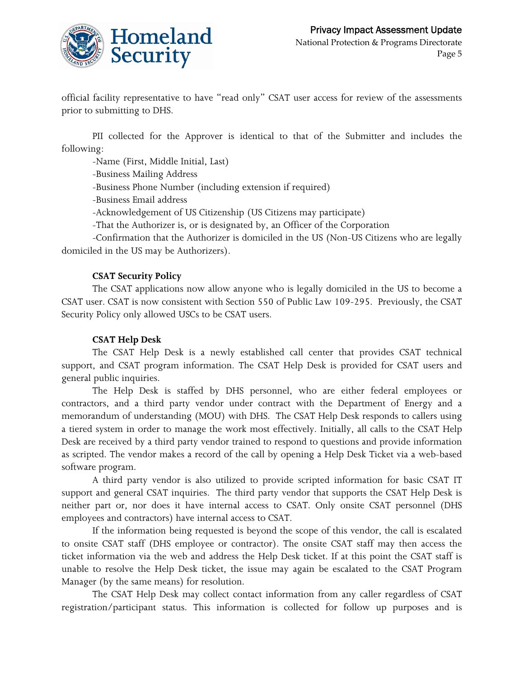

official facility representative to have "read only" CSAT user access for review of the assessments prior to submitting to DHS.

PII collected for the Approver is identical to that of the Submitter and includes the following:

-Name (First, Middle Initial, Last)

-Business Mailing Address

-Business Phone Number (including extension if required)

-Business Email address

-Acknowledgement of US Citizenship (US Citizens may participate)

-That the Authorizer is, or is designated by, an Officer of the Corporation

-Confirmation that the Authorizer is domiciled in the US (Non-US Citizens who are legally domiciled in the US may be Authorizers).

#### **CSAT Security Policy**

The CSAT applications now allow anyone who is legally domiciled in the US to become a CSAT user. CSAT is now consistent with Section 550 of Public Law 109-295. Previously, the CSAT Security Policy only allowed USCs to be CSAT users.

#### **CSAT Help Desk**

The CSAT Help Desk is a newly established call center that provides CSAT technical support, and CSAT program information. The CSAT Help Desk is provided for CSAT users and general public inquiries.

The Help Desk is staffed by DHS personnel, who are either federal employees or contractors, and a third party vendor under contract with the Department of Energy and a memorandum of understanding (MOU) with DHS. The CSAT Help Desk responds to callers using a tiered system in order to manage the work most effectively. Initially, all calls to the CSAT Help Desk are received by a third party vendor trained to respond to questions and provide information as scripted. The vendor makes a record of the call by opening a Help Desk Ticket via a web-based software program.

A third party vendor is also utilized to provide scripted information for basic CSAT IT support and general CSAT inquiries. The third party vendor that supports the CSAT Help Desk is neither part or, nor does it have internal access to CSAT. Only onsite CSAT personnel (DHS employees and contractors) have internal access to CSAT.

If the information being requested is beyond the scope of this vendor, the call is escalated to onsite CSAT staff (DHS employee or contractor). The onsite CSAT staff may then access the ticket information via the web and address the Help Desk ticket. If at this point the CSAT staff is unable to resolve the Help Desk ticket, the issue may again be escalated to the CSAT Program Manager (by the same means) for resolution.

The CSAT Help Desk may collect contact information from any caller regardless of CSAT registration/participant status. This information is collected for follow up purposes and is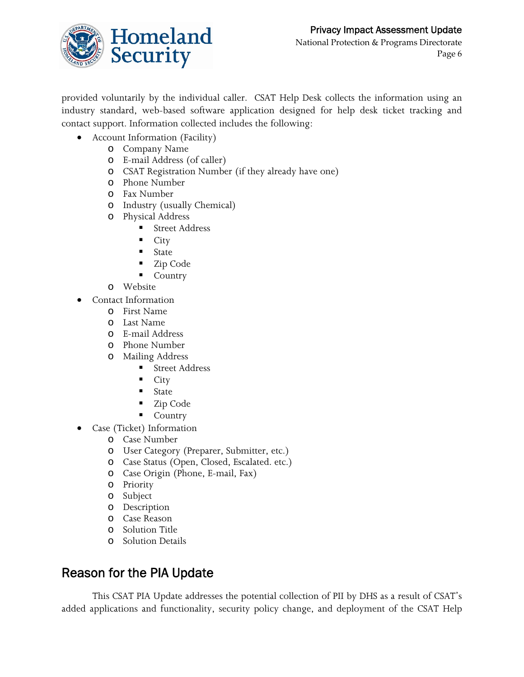

provided voluntarily by the individual caller. CSAT Help Desk collects the information using an industry standard, web-based software application designed for help desk ticket tracking and contact support. Information collected includes the following:

- Account Information (Facility)
	- o Company Name
	- o E-mail Address (of caller)
	- o CSAT Registration Number (if they already have one)
	- o Phone Number
	- o Fax Number
	- o Industry (usually Chemical)
	- o Physical Address
		- Street Address
		- $\blacksquare$  City
		- **State**
		- Zip Code
		- Country
	- o Website
- Contact Information
	- o First Name
	- o Last Name
	- o E-mail Address
	- o Phone Number
	- o Mailing Address
		- Street Address
		- $\blacksquare$  City
		- State
		- Zip Code
		- **Country**
- Case (Ticket) Information
	- o Case Number
	- o User Category (Preparer, Submitter, etc.)
	- o Case Status (Open, Closed, Escalated. etc.)
	- o Case Origin (Phone, E-mail, Fax)
	- o Priority
	- o Subject
	- o Description
	- o Case Reason
	- o Solution Title
	- o Solution Details

### Reason for the PIA Update

 This CSAT PIA Update addresses the potential collection of PII by DHS as a result of CSAT's added applications and functionality, security policy change, and deployment of the CSAT Help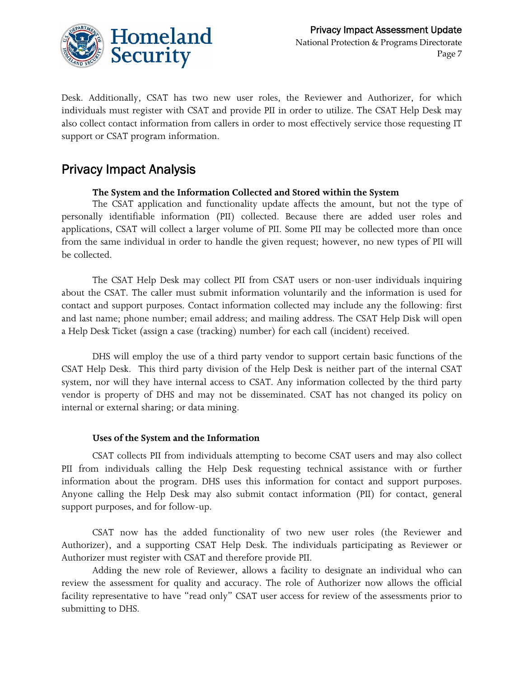

Desk. Additionally, CSAT has two new user roles, the Reviewer and Authorizer, for which individuals must register with CSAT and provide PII in order to utilize. The CSAT Help Desk may also collect contact information from callers in order to most effectively service those requesting IT support or CSAT program information.

### Privacy Impact Analysis

#### **The System and the Information Collected and Stored within the System**

 The CSAT application and functionality update affects the amount, but not the type of personally identifiable information (PII) collected. Because there are added user roles and applications, CSAT will collect a larger volume of PII. Some PII may be collected more than once from the same individual in order to handle the given request; however, no new types of PII will be collected.

 The CSAT Help Desk may collect PII from CSAT users or non-user individuals inquiring about the CSAT. The caller must submit information voluntarily and the information is used for contact and support purposes. Contact information collected may include any the following: first and last name; phone number; email address; and mailing address. The CSAT Help Disk will open a Help Desk Ticket (assign a case (tracking) number) for each call (incident) received.

 DHS will employ the use of a third party vendor to support certain basic functions of the CSAT Help Desk. This third party division of the Help Desk is neither part of the internal CSAT system, nor will they have internal access to CSAT. Any information collected by the third party vendor is property of DHS and may not be disseminated. CSAT has not changed its policy on internal or external sharing; or data mining.

#### **Uses of the System and the Information**

 CSAT collects PII from individuals attempting to become CSAT users and may also collect PII from individuals calling the Help Desk requesting technical assistance with or further information about the program. DHS uses this information for contact and support purposes. Anyone calling the Help Desk may also submit contact information (PII) for contact, general support purposes, and for follow-up.

 CSAT now has the added functionality of two new user roles (the Reviewer and Authorizer), and a supporting CSAT Help Desk. The individuals participating as Reviewer or Authorizer must register with CSAT and therefore provide PII.

Adding the new role of Reviewer, allows a facility to designate an individual who can review the assessment for quality and accuracy. The role of Authorizer now allows the official facility representative to have "read only" CSAT user access for review of the assessments prior to submitting to DHS.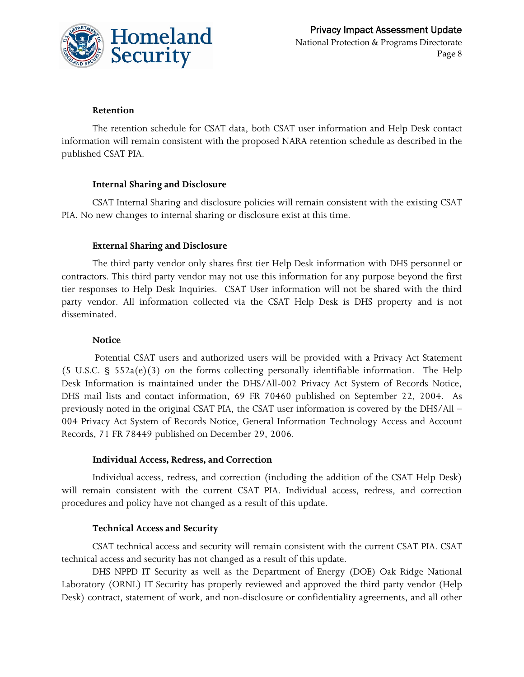

#### **Retention**

 The retention schedule for CSAT data, both CSAT user information and Help Desk contact information will remain consistent with the proposed NARA retention schedule as described in the published CSAT PIA.

#### **Internal Sharing and Disclosure**

 CSAT Internal Sharing and disclosure policies will remain consistent with the existing CSAT PIA. No new changes to internal sharing or disclosure exist at this time.

#### **External Sharing and Disclosure**

 The third party vendor only shares first tier Help Desk information with DHS personnel or contractors. This third party vendor may not use this information for any purpose beyond the first tier responses to Help Desk Inquiries. CSAT User information will not be shared with the third party vendor. All information collected via the CSAT Help Desk is DHS property and is not disseminated.

#### **Notice**

 Potential CSAT users and authorized users will be provided with a Privacy Act Statement (5 U.S.C. § 552a(e)(3) on the forms collecting personally identifiable information. The Help Desk Information is maintained under the DHS/All-002 Privacy Act System of Records Notice, DHS mail lists and contact information, 69 FR 70460 published on September 22, 2004. As previously noted in the original CSAT PIA, the CSAT user information is covered by the DHS/All – 004 Privacy Act System of Records Notice, General Information Technology Access and Account Records, 71 FR 78449 published on December 29, 2006.

#### **Individual Access, Redress, and Correction**

 Individual access, redress, and correction (including the addition of the CSAT Help Desk) will remain consistent with the current CSAT PIA. Individual access, redress, and correction procedures and policy have not changed as a result of this update.

#### **Technical Access and Security**

 CSAT technical access and security will remain consistent with the current CSAT PIA. CSAT technical access and security has not changed as a result of this update.

DHS NPPD IT Security as well as the Department of Energy (DOE) Oak Ridge National Laboratory (ORNL) IT Security has properly reviewed and approved the third party vendor (Help Desk) contract, statement of work, and non-disclosure or confidentiality agreements, and all other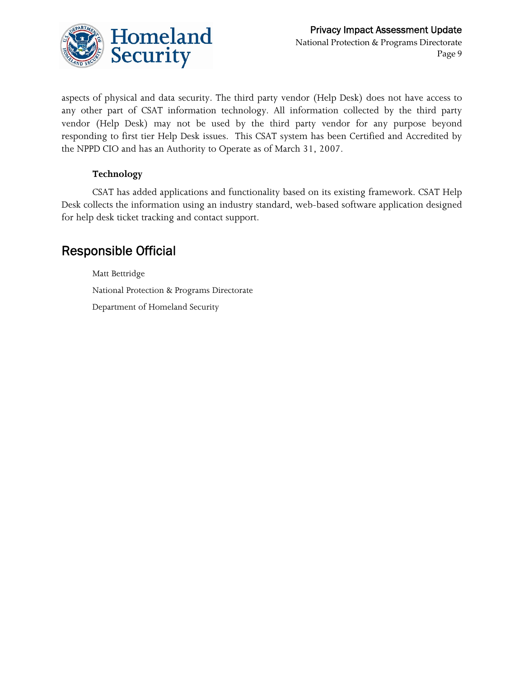

aspects of physical and data security. The third party vendor (Help Desk) does not have access to any other part of CSAT information technology. All information collected by the third party vendor (Help Desk) may not be used by the third party vendor for any purpose beyond responding to first tier Help Desk issues. This CSAT system has been Certified and Accredited by the NPPD CIO and has an Authority to Operate as of March 31, 2007.

#### **Technology**

 CSAT has added applications and functionality based on its existing framework. CSAT Help Desk collects the information using an industry standard, web-based software application designed for help desk ticket tracking and contact support.

### Responsible Official

Matt Bettridge National Protection & Programs Directorate Department of Homeland Security